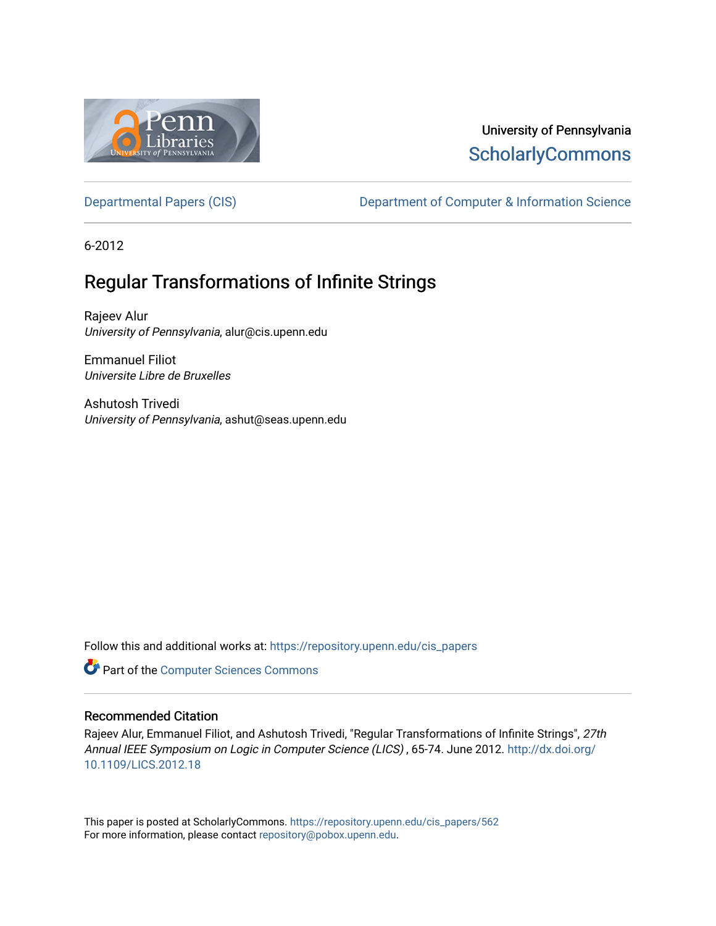

# University of Pennsylvania **ScholarlyCommons**

[Departmental Papers \(CIS\)](https://repository.upenn.edu/cis_papers) Department of Computer & Information Science

6-2012

# Regular Transformations of Infinite Strings

Rajeev Alur University of Pennsylvania, alur@cis.upenn.edu

Emmanuel Filiot Universite Libre de Bruxelles

Ashutosh Trivedi University of Pennsylvania, ashut@seas.upenn.edu

Follow this and additional works at: [https://repository.upenn.edu/cis\\_papers](https://repository.upenn.edu/cis_papers?utm_source=repository.upenn.edu%2Fcis_papers%2F562&utm_medium=PDF&utm_campaign=PDFCoverPages)

**Part of the [Computer Sciences Commons](http://network.bepress.com/hgg/discipline/142?utm_source=repository.upenn.edu%2Fcis_papers%2F562&utm_medium=PDF&utm_campaign=PDFCoverPages)** 

## Recommended Citation

Rajeev Alur, Emmanuel Filiot, and Ashutosh Trivedi, "Regular Transformations of Infinite Strings", 27th Annual IEEE Symposium on Logic in Computer Science (LICS) , 65-74. June 2012. [http://dx.doi.org/](http://dx.doi.org/10.1109/LICS.2012.18) [10.1109/LICS.2012.18](http://dx.doi.org/10.1109/LICS.2012.18) 

This paper is posted at ScholarlyCommons. [https://repository.upenn.edu/cis\\_papers/562](https://repository.upenn.edu/cis_papers/562)  For more information, please contact [repository@pobox.upenn.edu.](mailto:repository@pobox.upenn.edu)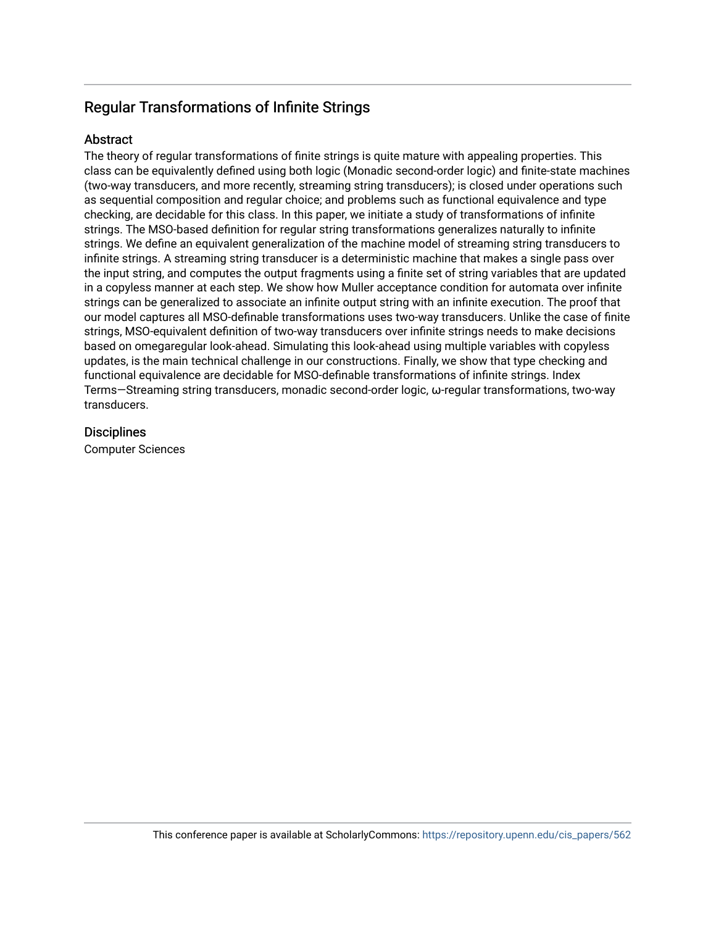## Regular Transformations of Infinite Strings

## Abstract

The theory of regular transformations of finite strings is quite mature with appealing properties. This class can be equivalently defined using both logic (Monadic second-order logic) and finite-state machines (two-way transducers, and more recently, streaming string transducers); is closed under operations such as sequential composition and regular choice; and problems such as functional equivalence and type checking, are decidable for this class. In this paper, we initiate a study of transformations of infinite strings. The MSO-based definition for regular string transformations generalizes naturally to infinite strings. We define an equivalent generalization of the machine model of streaming string transducers to infinite strings. A streaming string transducer is a deterministic machine that makes a single pass over the input string, and computes the output fragments using a finite set of string variables that are updated in a copyless manner at each step. We show how Muller acceptance condition for automata over infinite strings can be generalized to associate an infinite output string with an infinite execution. The proof that our model captures all MSO-definable transformations uses two-way transducers. Unlike the case of finite strings, MSO-equivalent definition of two-way transducers over infinite strings needs to make decisions based on omegaregular look-ahead. Simulating this look-ahead using multiple variables with copyless updates, is the main technical challenge in our constructions. Finally, we show that type checking and functional equivalence are decidable for MSO-definable transformations of infinite strings. Index Terms—Streaming string transducers, monadic second-order logic, ω-regular transformations, two-way transducers.

## **Disciplines**

Computer Sciences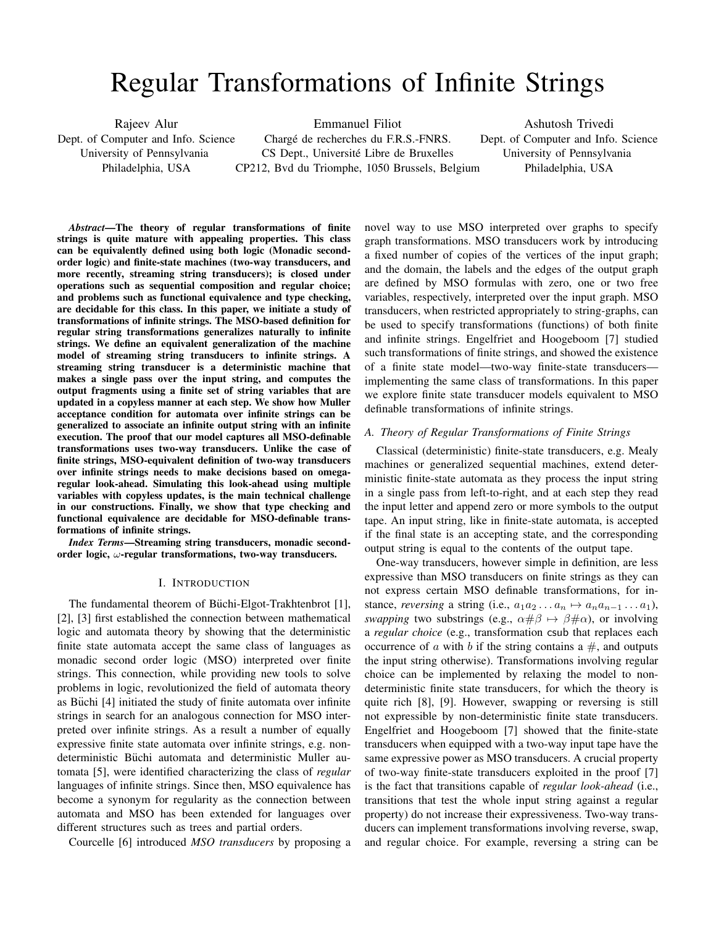# Regular Transformations of Infinite Strings

Rajeev Alur Dept. of Computer and Info. Science University of Pennsylvania Philadelphia, USA Emmanuel Filiot Charge de recherches du F.R.S.-FNRS. ´ CS Dept., Universite Libre de Bruxelles ´ CP212, Bvd du Triomphe, 1050 Brussels, Belgium Ashutosh Trivedi Dept. of Computer and Info. Science University of Pennsylvania Philadelphia, USA

*Abstract***—The theory of regular transformations of finite strings is quite mature with appealing properties. This class can be equivalently defined using both logic (Monadic secondorder logic) and finite-state machines (two-way transducers, and more recently, streaming string transducers); is closed under operations such as sequential composition and regular choice; and problems such as functional equivalence and type checking, are decidable for this class. In this paper, we initiate a study of transformations of infinite strings. The MSO-based definition for regular string transformations generalizes naturally to infinite strings. We define an equivalent generalization of the machine model of streaming string transducers to infinite strings. A streaming string transducer is a deterministic machine that makes a single pass over the input string, and computes the output fragments using a finite set of string variables that are updated in a copyless manner at each step. We show how Muller acceptance condition for automata over infinite strings can be generalized to associate an infinite output string with an infinite execution. The proof that our model captures all MSO-definable transformations uses two-way transducers. Unlike the case of finite strings, MSO-equivalent definition of two-way transducers over infinite strings needs to make decisions based on omegaregular look-ahead. Simulating this look-ahead using multiple variables with copyless updates, is the main technical challenge in our constructions. Finally, we show that type checking and functional equivalence are decidable for MSO-definable transformations of infinite strings.**

*Index Terms***—Streaming string transducers, monadic secondorder logic, ω-regular transformations, two-way transducers.** 

#### I. INTRODUCTION

The fundamental theorem of Büchi-Elgot-Trakhtenbrot [1], [2], [3] first established the connection between mathematical logic and automata theory by showing that the deterministic finite state automata accept the same class of languages as monadic second order logic (MSO) interpreted over finite strings. This connection, while providing new tools to solve problems in logic, revolutionized the field of automata theory as Büchi [4] initiated the study of finite automata over infinite strings in search for an analogous connection for MSO interpreted over infinite strings. As a result a number of equally expressive finite state automata over infinite strings, e.g. nondeterministic Büchi automata and deterministic Muller automata [5], were identified characterizing the class of *regular* languages of infinite strings. Since then, MSO equivalence has become a synonym for regularity as the connection between automata and MSO has been extended for languages over different structures such as trees and partial orders.

Courcelle [6] introduced *MSO transducers* by proposing a

novel way to use MSO interpreted over graphs to specify graph transformations. MSO transducers work by introducing a fixed number of copies of the vertices of the input graph; and the domain, the labels and the edges of the output graph are defined by MSO formulas with zero, one or two free variables, respectively, interpreted over the input graph. MSO transducers, when restricted appropriately to string-graphs, can be used to specify transformations (functions) of both finite and infinite strings. Engelfriet and Hoogeboom [7] studied such transformations of finite strings, and showed the existence of a finite state model—two-way finite-state transducers implementing the same class of transformations. In this paper we explore finite state transducer models equivalent to MSO definable transformations of infinite strings.

#### *A. Theory of Regular Transformations of Finite Strings*

Classical (deterministic) finite-state transducers, e.g. Mealy machines or generalized sequential machines, extend deterministic finite-state automata as they process the input string in a single pass from left-to-right, and at each step they read the input letter and append zero or more symbols to the output tape. An input string, like in finite-state automata, is accepted if the final state is an accepting state, and the corresponding output string is equal to the contents of the output tape.

One-way transducers, however simple in definition, are less expressive than MSO transducers on finite strings as they can not express certain MSO definable transformations, for instance, *reversing* a string (i.e.,  $a_1 a_2 \ldots a_n \mapsto a_n a_{n-1} \ldots a_1$ ), *swapping* two substrings (e.g.,  $\alpha \# \beta \mapsto \beta \# \alpha$ ), or involving a *regular choice* (e.g., transformation csub that replaces each occurrence of  $\alpha$  with  $\beta$  if the string contains a  $\#$ , and outputs the input string otherwise). Transformations involving regular choice can be implemented by relaxing the model to nondeterministic finite state transducers, for which the theory is quite rich [8], [9]. However, swapping or reversing is still not expressible by non-deterministic finite state transducers. Engelfriet and Hoogeboom [7] showed that the finite-state transducers when equipped with a two-way input tape have the same expressive power as MSO transducers. A crucial property of two-way finite-state transducers exploited in the proof [7] is the fact that transitions capable of *regular look-ahead* (i.e., transitions that test the whole input string against a regular property) do not increase their expressiveness. Two-way transducers can implement transformations involving reverse, swap, and regular choice. For example, reversing a string can be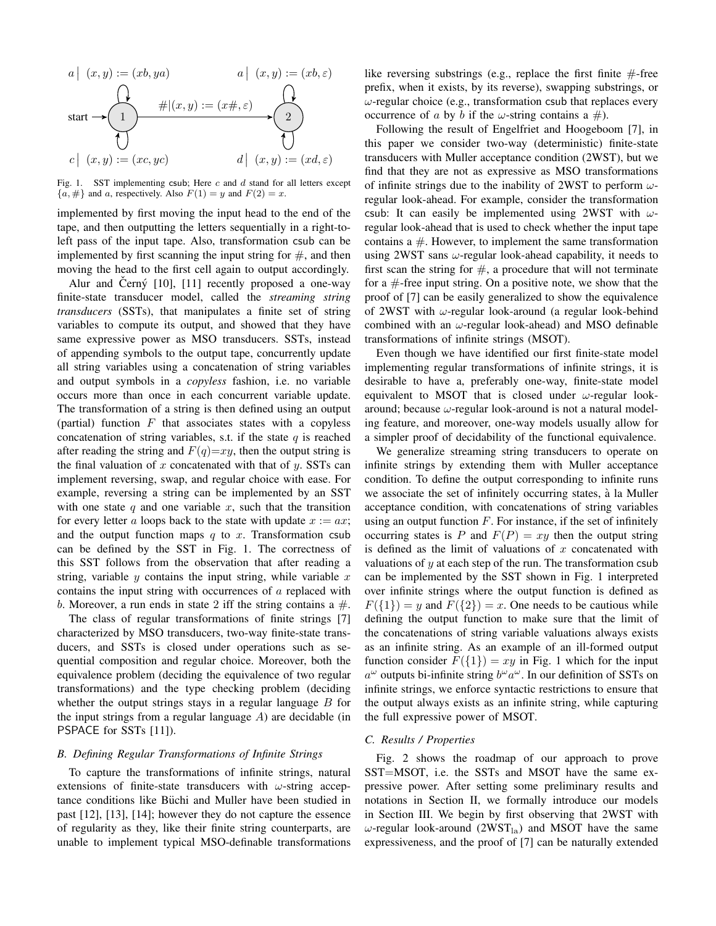

Fig. 1. SST implementing csub; Here  $c$  and  $d$  stand for all letters except  ${a, \#}$  and a, respectively. Also  $F(1) = y$  and  $F(2) = x$ .

implemented by first moving the input head to the end of the tape, and then outputting the letters sequentially in a right-toleft pass of the input tape. Also, transformation csub can be implemented by first scanning the input string for  $\#$ , and then moving the head to the first cell again to output accordingly.

Alur and Cerný  $[10]$ ,  $[11]$  recently proposed a one-way finite-state transducer model, called the *streaming string transducers* (SSTs), that manipulates a finite set of string variables to compute its output, and showed that they have same expressive power as MSO transducers. SSTs, instead of appending symbols to the output tape, concurrently update all string variables using a concatenation of string variables and output symbols in a *copyless* fashion, i.e. no variable occurs more than once in each concurrent variable update. The transformation of a string is then defined using an output (partial) function  $F$  that associates states with a copyless concatenation of string variables, s.t. if the state  $q$  is reached after reading the string and  $F(q)=xy$ , then the output string is the final valuation of  $x$  concatenated with that of  $y$ . SSTs can implement reversing, swap, and regular choice with ease. For example, reversing a string can be implemented by an SST with one state  $q$  and one variable  $x$ , such that the transition for every letter a loops back to the state with update  $x := ax$ ; and the output function maps  $q$  to  $x$ . Transformation csub can be defined by the SST in Fig. 1. The correctness of this SST follows from the observation that after reading a string, variable  $y$  contains the input string, while variable  $x$ contains the input string with occurrences of  $a$  replaced with b. Moreover, a run ends in state 2 iff the string contains a  $\#$ .

The class of regular transformations of finite strings [7] characterized by MSO transducers, two-way finite-state transducers, and SSTs is closed under operations such as sequential composition and regular choice. Moreover, both the equivalence problem (deciding the equivalence of two regular transformations) and the type checking problem (deciding whether the output strings stays in a regular language  $\hat{B}$  for the input strings from a regular language  $A$ ) are decidable (in PSPACE for SSTs [11]).

#### *B. Defining Regular Transformations of Infinite Strings*

To capture the transformations of infinite strings, natural extensions of finite-state transducers with  $\omega$ -string acceptance conditions like Büchi and Muller have been studied in past [12], [13], [14]; however they do not capture the essence of regularity as they, like their finite string counterparts, are unable to implement typical MSO-definable transformations like reversing substrings (e.g., replace the first finite  $#$ -free prefix, when it exists, by its reverse), swapping substrings, or  $\omega$ -regular choice (e.g., transformation csub that replaces every occurrence of a by b if the  $\omega$ -string contains a #).

Following the result of Engelfriet and Hoogeboom [7], in this paper we consider two-way (deterministic) finite-state transducers with Muller acceptance condition (2WST), but we find that they are not as expressive as MSO transformations of infinite strings due to the inability of 2WST to perform  $\omega$ regular look-ahead. For example, consider the transformation csub: It can easily be implemented using 2WST with  $\omega$ regular look-ahead that is used to check whether the input tape contains  $a \#$ . However, to implement the same transformation using 2WST sans  $\omega$ -regular look-ahead capability, it needs to first scan the string for  $#$ , a procedure that will not terminate for a  $#$ -free input string. On a positive note, we show that the proof of [7] can be easily generalized to show the equivalence of 2WST with  $\omega$ -regular look-around (a regular look-behind combined with an  $\omega$ -regular look-ahead) and MSO definable transformations of infinite strings (MSOT).

Even though we have identified our first finite-state model implementing regular transformations of infinite strings, it is desirable to have a, preferably one-way, finite-state model equivalent to MSOT that is closed under  $\omega$ -regular lookaround; because  $\omega$ -regular look-around is not a natural modeling feature, and moreover, one-way models usually allow for a simpler proof of decidability of the functional equivalence.

We generalize streaming string transducers to operate on infinite strings by extending them with Muller acceptance condition. To define the output corresponding to infinite runs we associate the set of infinitely occurring states, à la Muller acceptance condition, with concatenations of string variables using an output function  $F$ . For instance, if the set of infinitely occurring states is P and  $F(P) = xy$  then the output string is defined as the limit of valuations of  $x$  concatenated with valuations of  $y$  at each step of the run. The transformation csub can be implemented by the SST shown in Fig. 1 interpreted over infinite strings where the output function is defined as  $F({1}) = y$  and  $F({2}) = x$ . One needs to be cautious while defining the output function to make sure that the limit of the concatenations of string variable valuations always exists as an infinite string. As an example of an ill-formed output function consider  $F({1}) = xy$  in Fig. 1 which for the input  $a^{\omega}$  outputs bi-infinite string  $b^{\omega}a^{\omega}$ . In our definition of SSTs on infinite strings, we enforce syntactic restrictions to ensure that the output always exists as an infinite string, while capturing the full expressive power of MSOT.

#### *C. Results / Properties*

Fig. 2 shows the roadmap of our approach to prove SST=MSOT, i.e. the SSTs and MSOT have the same expressive power. After setting some preliminary results and notations in Section II, we formally introduce our models in Section III. We begin by first observing that 2WST with  $\omega$ -regular look-around (2WST<sub>la</sub>) and MSOT have the same expressiveness, and the proof of [7] can be naturally extended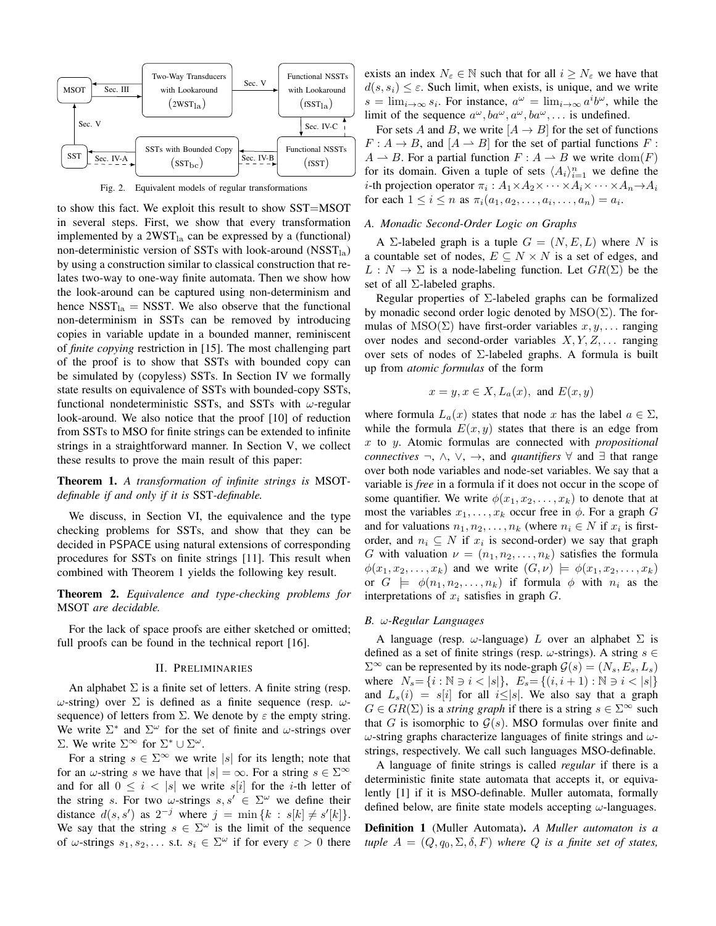

Fig. 2. Equivalent models of regular transformations

to show this fact. We exploit this result to show SST=MSOT in several steps. First, we show that every transformation implemented by a  $2WST_{1a}$  can be expressed by a (functional) non-deterministic version of SSTs with look-around  $(NSST<sub>la</sub>)$ by using a construction similar to classical construction that relates two-way to one-way finite automata. Then we show how the look-around can be captured using non-determinism and hence  $NSST<sub>la</sub> = NSST$ . We also observe that the functional non-determinism in SSTs can be removed by introducing copies in variable update in a bounded manner, reminiscent of *finite copying* restriction in [15]. The most challenging part of the proof is to show that SSTs with bounded copy can be simulated by (copyless) SSTs. In Section IV we formally state results on equivalence of SSTs with bounded-copy SSTs, functional nondeterministic SSTs, and SSTs with  $\omega$ -regular look-around. We also notice that the proof [10] of reduction from SSTs to MSO for finite strings can be extended to infinite strings in a straightforward manner. In Section V, we collect these results to prove the main result of this paper:

**Theorem 1.** *A transformation of infinite strings is* MSOT*definable if and only if it is* SST*-definable.*

We discuss, in Section VI, the equivalence and the type checking problems for SSTs, and show that they can be decided in PSPACE using natural extensions of corresponding procedures for SSTs on finite strings [11]. This result when combined with Theorem 1 yields the following key result.

**Theorem 2.** *Equivalence and type-checking problems for* MSOT *are decidable.*

For the lack of space proofs are either sketched or omitted; full proofs can be found in the technical report [16].

#### II. PRELIMINARIES

An alphabet  $\Sigma$  is a finite set of letters. A finite string (resp.  $ω$ -string) over Σ is defined as a finite sequence (resp.  $ω$ sequence) of letters from  $\Sigma$ . We denote by  $\varepsilon$  the empty string. We write  $\Sigma^*$  and  $\Sigma^{\omega}$  for the set of finite and  $\omega$ -strings over Σ. We write  $\Sigma^∞$  for  $\Sigma^* ∪ \Sigma^ω$ .

For a string  $s \in \Sigma^{\infty}$  we write |s| for its length; note that for an  $\omega$ -string s we have that  $|s| = \infty$ . For a string  $s \in \Sigma^{\infty}$ and for all  $0 \le i \le |s|$  we write  $s[i]$  for the *i*-th letter of the string s. For two  $\omega$ -strings  $s, s' \in \Sigma^{\omega}$  we define their distance  $d(s, s')$  as  $2^{-j}$  where  $j = \min\{k : s[k] \neq s'[k]\}.$ We say that the string  $s \in \Sigma^{\omega}$  is the limit of the sequence of  $\omega$ -strings  $s_1, s_2, \ldots$  s.t.  $s_i \in \Sigma^{\omega}$  if for every  $\varepsilon > 0$  there exists an index  $N_{\varepsilon} \in \mathbb{N}$  such that for all  $i \geq N_{\varepsilon}$  we have that  $d(s, s_i) \leq \varepsilon$ . Such limit, when exists, is unique, and we write  $s = \lim_{i \to \infty} s_i$ . For instance,  $a^{\omega} = \lim_{i \to \infty} a^i b^{\omega}$ , while the limit of the sequence  $a^{\omega}$ ,  $ba^{\omega}$ ,  $a^{\omega}$ ,  $ba^{\omega}$ ,... is undefined.

For sets A and B, we write  $[A \rightarrow B]$  for the set of functions  $F: A \rightarrow B$ , and  $[A \rightarrow B]$  for the set of partial functions F:  $A \rightharpoonup B$ . For a partial function  $F : A \rightharpoonup B$  we write  $dom(F)$ for its domain. Given a tuple of sets  $\langle A_i \rangle_{i=1}^n$  we define the *i*-th projection operator  $\pi_i$  :  $A_1 \times A_2 \times \cdots \times A_i \times \cdots \times A_n \rightarrow A_i$ for each  $1 \leq i \leq n$  as  $\pi_i(a_1, a_2, \ldots, a_i, \ldots, a_n) = a_i$ .

#### *A. Monadic Second-Order Logic on Graphs*

A  $\Sigma$ -labeled graph is a tuple  $G = (N, E, L)$  where N is a countable set of nodes,  $E \subseteq N \times N$  is a set of edges, and  $L : N \to \Sigma$  is a node-labeling function. Let  $GR(\Sigma)$  be the set of all Σ-labeled graphs.

Regular properties of  $\Sigma$ -labeled graphs can be formalized by monadic second order logic denoted by  $MSO(\Sigma)$ . The formulas of MSO( $\Sigma$ ) have first-order variables  $x, y, \ldots$  ranging over nodes and second-order variables  $X, Y, Z, \ldots$  ranging over sets of nodes of  $\Sigma$ -labeled graphs. A formula is built up from *atomic formulas* of the form

$$
x = y, x \in X, L_a(x), \text{ and } E(x, y)
$$

where formula  $L_a(x)$  states that node x has the label  $a \in \Sigma$ , while the formula  $E(x, y)$  states that there is an edge from x to y. Atomic formulas are connected with *propositional connectives* ¬, ∧, ∨, →, and *quantifiers* ∀ and ∃ that range over both node variables and node-set variables. We say that a variable is *free* in a formula if it does not occur in the scope of some quantifier. We write  $\phi(x_1, x_2, \ldots, x_k)$  to denote that at most the variables  $x_1, \ldots, x_k$  occur free in  $\phi$ . For a graph G and for valuations  $n_1, n_2, \ldots, n_k$  (where  $n_i \in N$  if  $x_i$  is firstorder, and  $n_i \subseteq N$  if  $x_i$  is second-order) we say that graph G with valuation  $\nu = (n_1, n_2, \ldots, n_k)$  satisfies the formula  $\phi(x_1, x_2, \ldots, x_k)$  and we write  $(G, \nu) \models \phi(x_1, x_2, \ldots, x_k)$ or  $G = \phi(n_1, n_2, \ldots, n_k)$  if formula  $\phi$  with  $n_i$  as the interpretations of  $x_i$  satisfies in graph  $G$ .

#### *B.* 𝜔*-Regular Languages*

A language (resp.  $\omega$ -language)  $L$  over an alphabet  $\Sigma$  is defined as a set of finite strings (resp.  $\omega$ -strings). A string  $s \in$  $\Sigma^{\infty}$  can be represented by its node-graph  $\mathcal{G}(s) = (N_s, E_s, L_s)$ where  $N_s = \{i : \mathbb{N} \ni i < |s|\}, E_s = \{(i, i+1) : \mathbb{N} \ni i < |s|\}$ and  $L_s(i) = s[i]$  for all  $i \leq |s|$ . We also say that a graph  $G \in \text{GR}(\Sigma)$  is a *string graph* if there is a string  $s \in \Sigma^{\infty}$  such that G is isomorphic to  $\mathcal{G}(s)$ . MSO formulas over finite and  $\omega$ -string graphs characterize languages of finite strings and  $\omega$ strings, respectively. We call such languages MSO-definable.

A language of finite strings is called *regular* if there is a deterministic finite state automata that accepts it, or equivalently [1] if it is MSO-definable. Muller automata, formally defined below, are finite state models accepting  $\omega$ -languages.

**Definition 1** (Muller Automata)**.** *A Muller automaton is a tuple*  $A = (Q, q_0, \Sigma, \delta, F)$  *where*  $Q$  *is a finite set of states,*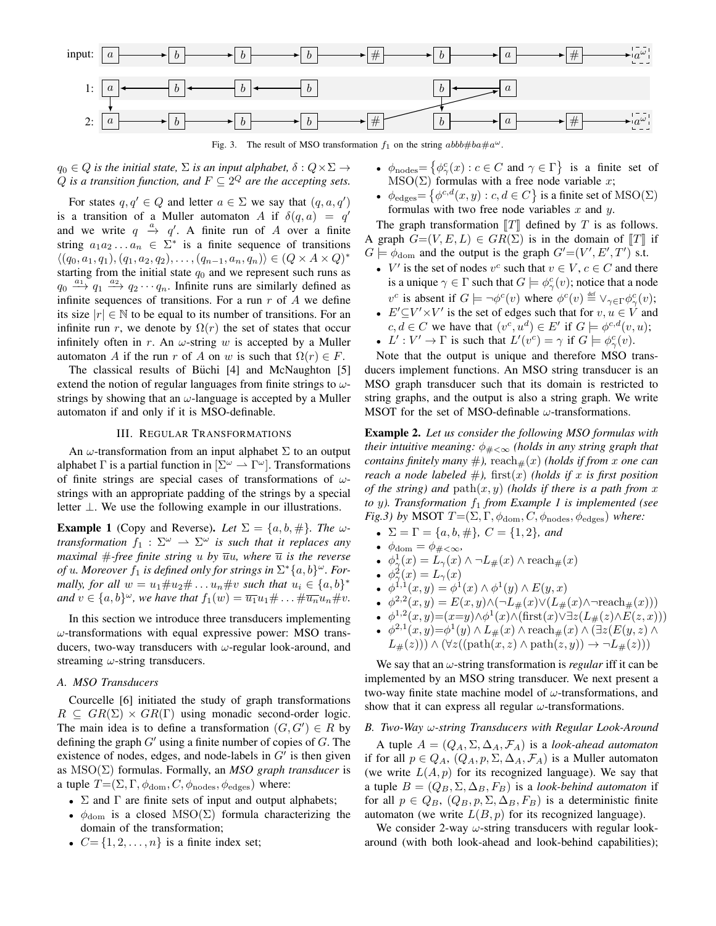

Fig. 3. The result of MSO transformation  $f_1$  on the string  $abbb#ba \# a^{\omega}$ .

 $q_0 \in Q$  *is the initial state,*  $\Sigma$  *is an input alphabet,*  $\delta : Q \times \Sigma \rightarrow$ *Q* is a transition function, and  $F \subseteq 2^Q$  are the accepting sets.

For states  $q, q' \in Q$  and letter  $a \in \Sigma$  we say that  $(q, a, q')$ is a transition of a Muller automaton A if  $\delta(q, a) = q'$ and we write  $q \stackrel{a}{\rightarrow} q'$ . A finite run of A over a finite string  $a_1 a_2 \ldots a_n \in \Sigma^*$  is a finite sequence of transitions  $\langle (q_0, a_1, q_1), (q_1, a_2, q_2), \ldots, (q_{n-1}, a_n, q_n) \rangle \in (Q \times A \times Q)^*$ starting from the initial state  $q_0$  and we represent such runs as  $q_0 \xrightarrow{a_1} q_1 \xrightarrow{a_2} q_2 \cdots q_n$ . Infinite runs are similarly defined as infinite sequences of transitions. For a run  $r$  of  $A$  we define its size  $|r| \in \mathbb{N}$  to be equal to its number of transitions. For an infinite run r, we denote by  $\Omega(r)$  the set of states that occur infinitely often in r. An  $\omega$ -string w is accepted by a Muller automaton A if the run r of A on w is such that  $\Omega(r) \in F$ .

The classical results of Büchi [4] and McNaughton [5] extend the notion of regular languages from finite strings to  $\omega$ strings by showing that an  $\omega$ -language is accepted by a Muller automaton if and only if it is MSO-definable.

#### III. REGULAR TRANSFORMATIONS

An  $\omega$ -transformation from an input alphabet  $\Sigma$  to an output alphabet Γ is a partial function in  $[\Sigma^{\omega} \to \Gamma^{\omega}]$ . Transformations of finite strings are special cases of transformations of  $\omega$ strings with an appropriate padding of the strings by a special letter ⊥. We use the following example in our illustrations.

**Example 1** (Copy and Reverse). Let  $\Sigma = \{a, b, \# \}$ . The  $\omega$ *transformation*  $f_1 : \Sigma^\omega \to \Sigma^\omega$  *is such that it replaces any maximal*  $#$ *-free finite string*  $u$  *by*  $\overline{u}u$ *, where*  $\overline{u}$  *is the reverse of*  $u$ *. Moreover*  $f_1$  *is defined only for strings in*  $\Sigma^*{a,b}^\omega$ *. Formally, for all*  $w = u_1 \# u_2 \# \dots u_n \# v$  *such that*  $u_i \in \{a, b\}^*$ *and*  $v \in \{a, b\}^{\omega}$ , we have that  $f_1(w) = \overline{u_1} u_1 \# \dots \# \overline{u_n} u_n \# v$ .

In this section we introduce three transducers implementing  $\omega$ -transformations with equal expressive power: MSO transducers, two-way transducers with  $\omega$ -regular look-around, and streaming  $\omega$ -string transducers.

#### *A. MSO Transducers*

Courcelle [6] initiated the study of graph transformations  $R \subseteq \text{GR}(\Sigma) \times \text{GR}(\Gamma)$  using monadic second-order logic. The main idea is to define a transformation  $(G, G') \in R$  by defining the graph  $G'$  using a finite number of copies of  $G$ . The existence of nodes, edges, and node-labels in  $G'$  is then given as MSO(Σ) formulas. Formally, an *MSO graph transducer* is a tuple  $T = (\Sigma, \Gamma, \phi_{\text{dom}}, C, \phi_{\text{nodes}}, \phi_{\text{edges}})$  where:

- <sup>∙</sup> Σ and Γ are finite sets of input and output alphabets;
- $\phi_{\text{dom}}$  is a closed MSO( $\Sigma$ ) formula characterizing the domain of the transformation;
- $C = \{1, 2, \ldots, n\}$  is a finite index set;
- $\phi_{\text{nodes}} = \{ \phi_{\gamma}^c(x) : c \in C \text{ and } \gamma \in \Gamma \}$  is a finite set of  $MSO(\Sigma)$  formulas with a free node variable x;
- $\phi_{\text{edges}} = \{ \phi^{c,d}(x, y) : c, d \in C \}$  is a finite set of  $\text{MSO}(\Sigma)$ formulas with two free node variables  $x$  and  $y$ .

The graph transformation  $\llbracket T \rrbracket$  defined by T is as follows. A graph  $G=(V, E, L) \in \text{GR}(\Sigma)$  is in the domain of  $[[T]]$  if  $G \models \phi_{\text{dom}}$  and the output is the graph  $G' = (V', E', T')$  s.t.

- $V'$  is the set of nodes  $v^c$  such that  $v \in V$ ,  $c \in C$  and there is a unique  $\gamma \in \Gamma$  such that  $G \models \phi_{\gamma}^c(v)$ ; notice that a node  $v^c$  is absent if  $G \models \neg \phi^c(v)$  where  $\phi^c(v) \stackrel{\text{def}}{=} \vee_{\gamma \in \Gamma} \phi^c_{\gamma}(v)$ ;
- $E' \subseteq V' \times V'$  is the set of edges such that for  $v, u \in V$  and  $c, d \in C$  we have that  $(v^c, u^d) \in E'$  if  $G \models \phi^{c,d}(v, u)$ ;
- $L' : V' \to \Gamma$  is such that  $L'(v^c) = \gamma$  if  $G \models \phi_{\gamma}^c(v)$ .

Note that the output is unique and therefore MSO transducers implement functions. An MSO string transducer is an MSO graph transducer such that its domain is restricted to string graphs, and the output is also a string graph. We write MSOT for the set of MSO-definable  $\omega$ -transformations.

**Example 2.** *Let us consider the following MSO formulas with their intuitive meaning:*  $\phi_{\#<\infty}$  *(holds in any string graph that contains finitely many*  $#$ ), reach $#(x)$  *(holds if from x one can reach a node labeled*  $#$ *),* first $(x)$  *(holds if*  $x$  *is first position of the string) and*  $path(x, y)$  *(holds if there is a path from x to y*). Transformation  $f_1$  *from Example 1 is implemented (see Fig.3) by* MSOT  $T = (\Sigma, \Gamma, \phi_{\text{dom}}, C, \phi_{\text{nodes}}, \phi_{\text{edges}})$  *where:* 

- $\Sigma = \Gamma = \{a, b, \# \}, C = \{1, 2\}, and$
- $\phi_{\text{dom}} = \phi_{\# \lt \infty}$
- $\phi_{\gamma}^{1}(x) = L_{\gamma}(x) \wedge \neg L_{\#}(x) \wedge \text{reach}_{\#}(x)$
- $\phi_{\gamma}^2(x) = L_{\gamma}(x)$
- $\phi^{1,1}(x,y) = \phi^1(x) \wedge \phi^1(y) \wedge E(y,x)$
- $\phi^{2,2}(x,y) = E(x,y) \wedge (\neg L_{\#}(x) \vee (L_{\#}(x) \wedge \neg \text{reach}_{\#}(x)))$
- $\phi^{1,2}(x,y)=(x=y)\wedge \phi^1(x)\wedge (\text{first}(x)\vee \exists z(L_{\#}(z)\wedge E(z,x)))$
- $\phi^{2,1}(x,y) = \phi^1(y) \wedge L_{\#}(x) \wedge \text{reach}_{\#}(x) \wedge (\exists z(E(y,z) \wedge$  $L_{\#}(z))$ )  $\wedge (\forall z ((path(x, z) \land path(z, y)) \rightarrow \neg L_{\#}(z)))$

We say that an  $\omega$ -string transformation is *regular* iff it can be implemented by an MSO string transducer. We next present a two-way finite state machine model of  $\omega$ -transformations, and show that it can express all regular  $\omega$ -transformations.

#### B. Two-Way ω-string Transducers with Regular Look-Around

A tuple  $A = (Q_A, \Sigma, \Delta_A, \mathcal{F}_A)$  is a *look-ahead automaton* if for all  $p \in Q_A$ ,  $(Q_A, p, \Sigma, \Delta_A, \mathcal{F}_A)$  is a Muller automaton (we write  $L(A, p)$  for its recognized language). We say that a tuple  $B = (Q_B, \Sigma, \Delta_B, F_B)$  is a *look-behind automaton* if for all  $p \in Q_B$ ,  $(Q_B, p, \Sigma, \Delta_B, F_B)$  is a deterministic finite automaton (we write  $L(B, p)$  for its recognized language).

We consider 2-way  $\omega$ -string transducers with regular lookaround (with both look-ahead and look-behind capabilities);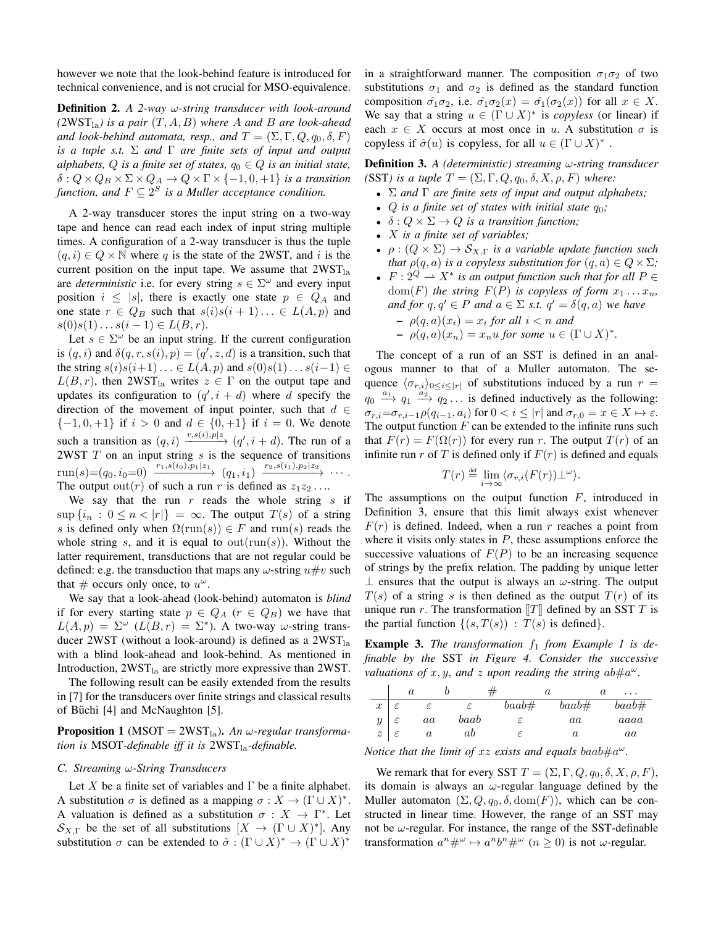however we note that the look-behind feature is introduced for technical convenience, and is not crucial for MSO-equivalence.

**Definition 2.** *A 2-way* ω-string transducer with look-around  $(2WST<sub>la</sub>)$  *is a pair*  $(T, A, B)$  *where* A *and* B *are look-ahead and look-behind automata, resp., and*  $T = (\Sigma, \Gamma, Q, q_0, \delta, F)$ *is a tuple s.t.* Σ *and* Γ *are finite sets of input and output alphabets,*  $Q$  *is a finite set of states,*  $q_0 \in Q$  *is an initial state,*  $\delta: Q \times Q_B \times \Sigma \times Q_A \rightarrow Q \times \Gamma \times \{-1, 0, +1\}$  *is a transition function, and*  $F \subseteq 2^S$  *is a Muller acceptance condition.* 

A 2-way transducer stores the input string on a two-way tape and hence can read each index of input string multiple times. A configuration of a 2-way transducer is thus the tuple  $(q, i) \in Q \times \mathbb{N}$  where q is the state of the 2WST, and i is the current position on the input tape. We assume that  $2WST<sub>la</sub>$ are *deterministic* i.e. for every string  $s \in \Sigma^{\omega}$  and every input position  $i \leq |s|$ , there is exactly one state  $p \in Q_A$  and one state  $r \in Q_B$  such that  $s(i)s(i+1)... \in L(A, p)$  and  $s(0)s(1)... s(i-1) \in L(B,r).$ 

Let  $s \in \Sigma^{\omega}$  be an input string. If the current configuration is  $(q, i)$  and  $\delta(q, r, s(i), p) = (q', z, d)$  is a transition, such that the string  $s(i)s(i+1)... \in L(A,p)$  and  $s(0)s(1)...s(i-1) \in$  $L(B,r)$ , then 2WST<sub>la</sub> writes  $z \in \Gamma$  on the output tape and updates its configuration to  $(q', i + d)$  where d specify the direction of the movement of input pointer, such that  $d \in$  $\{-1, 0, +1\}$  if  $i > 0$  and  $d \in \{0, +1\}$  if  $i = 0$ . We denote such a transition as  $(q, i) \xrightarrow{r, s(i), p \mid z} (q', i + d)$ . The run of a 2WST  $T$  on an input string  $s$  is the sequence of transitions  $\text{run}(s) = (q_0, i_0 = 0) \xrightarrow{r_1, s(i_0), p_1 \mid z_1} (q_1, i_1) \xrightarrow{r_2, s(i_1), p_2 \mid z_2} \cdots$ The output out(*r*) of such a run *r* is defined as  $z_1z_2 \ldots$ 

We say that the run  $r$  reads the whole string  $s$  if  $\sup \{i_n : 0 \leq n < |r|\} = \infty$ . The output  $T(s)$  of a string s is defined only when  $\Omega(\text{run}(s)) \in F$  and  $\text{run}(s)$  reads the whole string s, and it is equal to  $\text{out}(\text{run}(s))$ . Without the latter requirement, transductions that are not regular could be defined: e.g. the transduction that maps any  $\omega$ -string  $u \# v$  such that  $\#$  occurs only once, to  $u^{\omega}$ .

We say that a look-ahead (look-behind) automaton is *blind* if for every starting state  $p \in Q_A$  ( $r \in Q_B$ ) we have that  $L(A, p) = \Sigma^{\omega}$  ( $L(B, r) = \Sigma^*$ ). A two-way  $\omega$ -string transducer 2WST (without a look-around) is defined as a  $2WST<sub>la</sub>$ with a blind look-ahead and look-behind. As mentioned in Introduction,  $2WST<sub>la</sub>$  are strictly more expressive than 2WST.

The following result can be easily extended from the results in [7] for the transducers over finite strings and classical results of Büchi  $[4]$  and McNaughton  $[5]$ .

**Proposition 1** (MSOT = 2WST<sub>la</sub>). An  $\omega$ -regular transforma*tion is* MSOT-definable iff it is 2WST<sub>la</sub>-definable.

#### *C. Streaming* 𝜔*-String Transducers*

Let X be a finite set of variables and  $\Gamma$  be a finite alphabet. A substitution  $\sigma$  is defined as a mapping  $\sigma : X \to (\Gamma \cup X)^*$ . A valuation is defined as a substitution  $\sigma : X \to \Gamma^*$ . Let  $\mathcal{S}_{X,\Gamma}$  be the set of all substitutions  $[X \to (\Gamma \cup X)^*]$ . Any substitution  $\sigma$  can be extended to  $\hat{\sigma} : (\Gamma \cup X)^* \to (\Gamma \cup X)^*$ 

in a straightforward manner. The composition  $\sigma_1 \sigma_2$  of two substitutions  $\sigma_1$  and  $\sigma_2$  is defined as the standard function composition  $\hat{\sigma_1 \sigma_2}$ , i.e.  $\hat{\sigma_1 \sigma_2}(x) = \hat{\sigma_1}(\sigma_2(x))$  for all  $x \in X$ . We say that a string  $u \in (\Gamma \cup X)^*$  is *copyless* (or linear) if each  $x \in X$  occurs at most once in u. A substitution  $\sigma$  is copyless if  $\hat{\sigma}(u)$  is copyless, for all  $u \in (\Gamma \cup X)^*$ .

**Definition 3.** *A (deterministic) streaming*  $\omega$ -string transducer (SST) is a tuple  $T = (\Sigma, \Gamma, Q, q_0, \delta, X, \rho, F)$  where:

- <sup>∙</sup> Σ *and* Γ *are finite sets of input and output alphabets;*
- *Q* is a finite set of states with initial state  $q_0$ ;
- $\delta: Q \times \Sigma \rightarrow Q$  *is a transition function;*
- <sup>∙</sup> 𝑋 *is a finite set of variables;*
- $\rho : (Q \times \Sigma) \to S_{X,\Gamma}$  *is a variable update function such that*  $\rho(q, a)$  *is a copyless substitution for*  $(q, a) \in Q \times \Sigma$ *;*
- $F: 2^Q \rightharpoonup X^*$  *is an output function such that for all*  $P \in$  $dom(F)$  *the string*  $F(P)$  *is copyless of form*  $x_1 \ldots x_n$ *, and for*  $q, q' \in P$  *and*  $a \in \Sigma$  *s.t.*  $q' = \delta(q, a)$  *we have*  $- \rho(q, a)(x_i) = x_i$  *for all*  $i < n$  *and* 
	- $\rho(q, a)(x_n) = x_n u$  for some  $u \in (\Gamma \cup X)^*$ .

The concept of a run of an SST is defined in an analogous manner to that of a Muller automaton. The sequence  $\langle \sigma_{r,i} \rangle_{0 \leq i \leq |r|}$  of substitutions induced by a run  $r =$  $q_0 \xrightarrow{a_1} q_1 \xrightarrow{a_2} q_2 \dots$  is defined inductively as the following:  $\sigma_{r,i} = \sigma_{r,i-1} \rho(q_{i-1}, a_i)$  for  $0 < i \leq |r|$  and  $\sigma_{r,0} = x \in X \mapsto \varepsilon$ . The output function  $F$  can be extended to the infinite runs such that  $F(r) = F(\Omega(r))$  for every run r. The output  $T(r)$  of an infinite run r of T is defined only if  $F(r)$  is defined and equals

$$
T(r) \stackrel{\text{def}}{=} \lim_{i \to \infty} \langle \sigma_{r,i}(F(r)) \perp^{\omega} \rangle.
$$

The assumptions on the output function  $F$ , introduced in Definition 3, ensure that this limit always exist whenever  $F(r)$  is defined. Indeed, when a run r reaches a point from where it visits only states in  $P$ , these assumptions enforce the successive valuations of  $F(P)$  to be an increasing sequence of strings by the prefix relation. The padding by unique letter  $\perp$  ensures that the output is always an  $\omega$ -string. The output  $T(s)$  of a string s is then defined as the output  $T(r)$  of its unique run  $r$ . The transformation  $[[T]]$  defined by an SST  $T$  is the partial function  $\{(s, T(s)) : T(s)$  is defined.

**Example 3.** *The transformation*  $f_1$  *from Example 1 is definable by the* SST *in Figure 4. Consider the successive valuations of*  $x, y$ , and  $z$  *upon reading the string ab*# $a^{\omega}$ .

|                  |               | $\it a$ |      |          | $\it a$          | a<br>$\cdots$ |
|------------------|---------------|---------|------|----------|------------------|---------------|
| $\boldsymbol{x}$ |               |         |      | $baab\#$ | $baab\#$         | $baab\#$      |
| $y \mid$         |               | aa      | baab |          | aa               | aaaa          |
| z <sub>1</sub>   | $\varepsilon$ | и       | ab   |          | $\boldsymbol{a}$ | aa            |

*Notice that the limit of xz exists and equals baab#* $a^{\omega}$ *.* 

We remark that for every SST  $T = (\Sigma, \Gamma, Q, q_0, \delta, X, \rho, F)$ , its domain is always an  $\omega$ -regular language defined by the Muller automaton  $(\Sigma, Q, q_0, \delta, \text{dom}(F))$ , which can be constructed in linear time. However, the range of an SST may not be  $\omega$ -regular. For instance, the range of the SST-definable transformation  $a^n \#^{\omega} \mapsto a^n b^n \#^{\omega}$   $(n \geq 0)$  is not  $\omega$ -regular.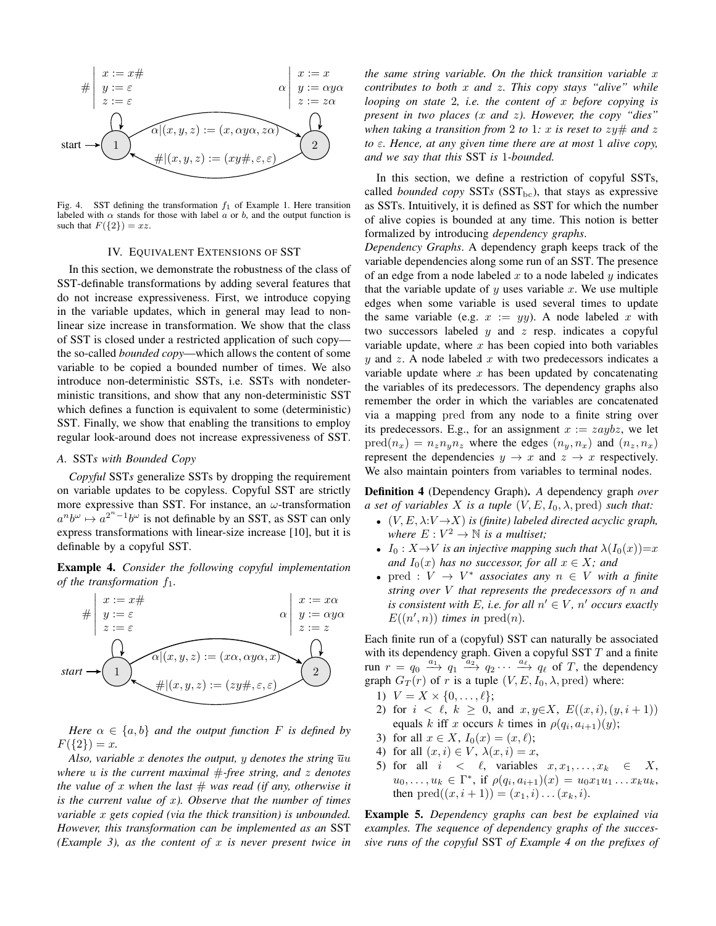

Fig. 4. SST defining the transformation  $f_1$  of Example 1. Here transition labeled with  $\alpha$  stands for those with label  $\alpha$  or  $\dot{\theta}$ , and the output function is such that  $F({2}) = xz$ .

#### IV. EQUIVALENT EXTENSIONS OF SST

In this section, we demonstrate the robustness of the class of SST-definable transformations by adding several features that do not increase expressiveness. First, we introduce copying in the variable updates, which in general may lead to nonlinear size increase in transformation. We show that the class of SST is closed under a restricted application of such copy the so-called *bounded copy*—which allows the content of some variable to be copied a bounded number of times. We also introduce non-deterministic SSTs, i.e. SSTs with nondeterministic transitions, and show that any non-deterministic SST which defines a function is equivalent to some (deterministic) SST. Finally, we show that enabling the transitions to employ regular look-around does not increase expressiveness of SST.

#### *A.* SST*s with Bounded Copy*

*Copyful* SST*s* generalize SSTs by dropping the requirement on variable updates to be copyless. Copyful SST are strictly more expressive than SST. For instance, an  $\omega$ -transformation  $a^n b^{\omega} \mapsto a^{2^n-1} b^{\omega}$  is not definable by an SST, as SST can only express transformations with linear-size increase [10], but it is definable by a copyful SST.

**Example 4.** *Consider the following copyful implementation of the transformation*  $f_1$ .



*Here*  $\alpha \in \{a, b\}$  *and the output function F is defined by*  $F({2}) = x.$ 

*Also, variable* x denotes the output, y denotes the string  $\overline{u}u$ *where u is the current maximal*  $#$ -*free string, and z denotes the value of* x when the last  $#$  was read (if any, otherwise it *is the current value of x). Observe that the number of times variable* x gets copied (via the thick transition) is unbounded. *However, this transformation can be implemented as an* SST *(Example 3), as the content of* 𝑥 *is never present twice in*

*the same string variable. On the thick transition variable x contributes to both* x and z. This copy stays "alive" while *looping on state* 2*, i.e. the content of* x before copying is *present in two places (x and z). However, the copy "dies" when taking a transition from* 2 *to* 1*:*  $x$  *is reset to*  $zy\#$  *and*  $z$ *to*  $\varepsilon$ *. Hence, at any given time there are at most* 1 *alive copy, and we say that this* SST *is* 1*-bounded.*

In this section, we define a restriction of copyful SSTs, called *bounded copy* SSTs (SST<sub>bc</sub>), that stays as expressive as SSTs. Intuitively, it is defined as SST for which the number of alive copies is bounded at any time. This notion is better formalized by introducing *dependency graphs*.

*Dependency Graphs*. A dependency graph keeps track of the variable dependencies along some run of an SST. The presence of an edge from a node labeled  $x$  to a node labeled  $y$  indicates that the variable update of  $y$  uses variable  $x$ . We use multiple edges when some variable is used several times to update the same variable (e.g.  $x := yy$ ). A node labeled x with two successors labeled  $y$  and  $z$  resp. indicates a copyful variable update, where  $x$  has been copied into both variables  $y$  and  $z$ . A node labeled  $x$  with two predecessors indicates a variable update where  $x$  has been updated by concatenating the variables of its predecessors. The dependency graphs also remember the order in which the variables are concatenated via a mapping pred from any node to a finite string over its predecessors. E.g., for an assignment  $x := zaybz$ , we let  $pred(n_x) = n_z n_y n_z$  where the edges  $(n_y, n_x)$  and  $(n_z, n_x)$ represent the dependencies  $y \to x$  and  $z \to x$  respectively. We also maintain pointers from variables to terminal nodes.

**Definition 4** (Dependency Graph)**.** *A* dependency graph *over a set of variables* X *is a tuple*  $(V, E, I_0, \lambda, \text{pred})$  *such that:* 

- <sup>∙</sup> (𝑉, 𝐸, 𝜆:𝑉 →𝑋) *is (finite) labeled directed acyclic graph, where*  $E: V^2 \to \mathbb{N}$  *is a multiset;*
- $I_0: X \rightarrow V$  *is an injective mapping such that*  $\lambda(I_0(x))=x$ *and*  $I_0(x)$  *has no successor, for all*  $x \in X$ *; and*
- pred :  $V \rightarrow V^*$  *associates any*  $n \in V$  *with a finite string over V* that represents the predecessors of *n* and *is consistent with E, i.e. for all*  $n' \in V$ *,*  $n'$  *occurs exactly*  $E((n', n))$  *times in* pred $(n)$ *.*

Each finite run of a (copyful) SST can naturally be associated with its dependency graph. Given a copyful SST  $T$  and a finite run  $r = q_0 \xrightarrow{a_1} q_1 \xrightarrow{a_2} q_2 \cdots \xrightarrow{a_\ell} q_\ell$  of T, the dependency graph  $G_T(r)$  of r is a tuple  $(V, E, I_0, \lambda, \text{pred})$  where:

- 1)  $V = X \times \{0, \ldots, \ell\};$
- 2) for  $i < \ell, k \geq 0$ , and  $x, y \in X$ ,  $E((x, i), (y, i + 1))$ equals k iff x occurs k times in  $\rho(q_i, a_{i+1})(y)$ ;
- 3) for all  $x \in X$ ,  $I_0(x) = (x, \ell);$
- 4) for all  $(x, i) \in V$ ,  $\lambda(x, i) = x$ ,
- 5) for all  $i < \ell$ , variables  $x, x_1, \ldots, x_k \in X$ ,  $u_0,\ldots,u_k \in \Gamma^*$ , if  $\rho(q_i,a_{i+1})(x) = u_0x_1u_1\ldots x_ku_k$ , then  $pred((x, i + 1)) = (x_1, i) \dots (x_k, i).$

**Example 5.** *Dependency graphs can best be explained via examples. The sequence of dependency graphs of the successive runs of the copyful* SST *of Example 4 on the prefixes of*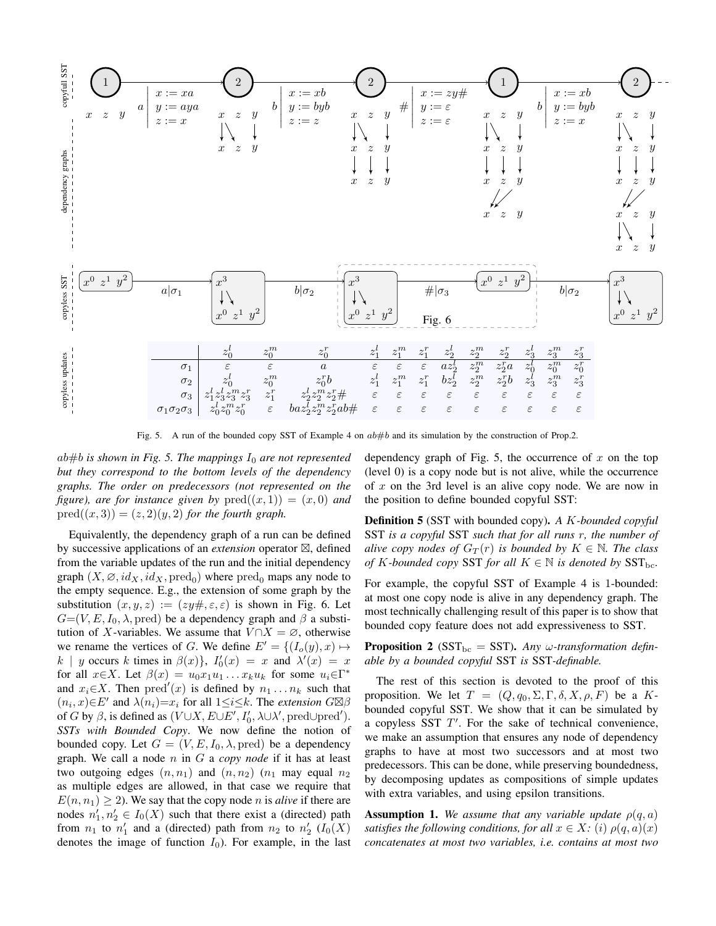

Fig. 5. A run of the bounded copy SST of Example 4 on  $ab \# b$  and its simulation by the construction of Prop.2.

 $ab#b$  is shown in Fig. 5. The mappings  $I_0$  are not represented *but they correspond to the bottom levels of the dependency graphs. The order on predecessors (not represented on the figure), are for instance given by*  $pred((x, 1)) = (x, 0)$  *and*  $pred((x, 3)) = (z, 2)(y, 2)$  *for the fourth graph.* 

Equivalently, the dependency graph of a run can be defined by successive applications of an *extension* operator ⊠, defined from the variable updates of the run and the initial dependency graph  $(X, \emptyset, id_X, id_X, \text{pred}_0)$  where  $\text{pred}_0$  maps any node to the empty sequence. E.g., the extension of some graph by the substitution  $(x, y, z) := (zy\#,\epsilon,\epsilon)$  is shown in Fig. 6. Let  $G=(V, E, I_0, \lambda, \text{pred})$  be a dependency graph and  $\beta$  a substitution of X-variables. We assume that  $V \cap X = \emptyset$ , otherwise we rename the vertices of G. We define  $E' = \{(I_o(y), x) \mapsto$  $k \mid y$  occurs k times in  $\beta(x)$ ,  $I'_0(x) = x$  and  $\lambda'(x) = x$ for all  $x \in X$ . Let  $\beta(x) = u_0 x_1 u_1 \dots x_k u_k$  for some  $u_i \in \Gamma^*$ and  $x_i \in X$ . Then  $pred'(x)$  is defined by  $n_1 \ldots n_k$  such that  $(n_i, x) \in E'$  and  $\lambda(n_i) = x_i$  for all  $1 \leq i \leq k$ . The *extension*  $G \boxtimes \beta$ of G by  $\beta$ , is defined as  $(V \cup X, E \cup E', I'_0, \lambda \cup \lambda', \text{pred} \cup \text{pred}')$ . *SSTs with Bounded Copy*. We now define the notion of bounded copy. Let  $G = (V, E, I_0, \lambda, \text{pred})$  be a dependency graph. We call a node  $n$  in  $G$  a *copy node* if it has at least two outgoing edges  $(n, n_1)$  and  $(n, n_2)$   $(n_1$  may equal  $n_2$ as multiple edges are allowed, in that case we require that  $E(n, n_1) \geq 2$ ). We say that the copy node *n* is *alive* if there are nodes  $n'_1, n'_2 \in I_0(X)$  such that there exist a (directed) path from  $n_1$  to  $n'_1$  and a (directed) path from  $n_2$  to  $n'_2$  ( $I_0(X)$ ) denotes the image of function  $I_0$ ). For example, in the last dependency graph of Fig. 5, the occurrence of  $x$  on the top (level 0) is a copy node but is not alive, while the occurrence of  $x$  on the 3rd level is an alive copy node. We are now in the position to define bounded copyful SST:

**Definition 5** (SST with bounded copy). *A K-bounded copyful* SST *is a copyful* SST *such that for all runs r, the number of alive copy nodes of*  $G_T(r)$  *is bounded by*  $K \in \mathbb{N}$ *. The class of*  $K$ *-bounded copy* SST *for all*  $K \in \mathbb{N}$  *is denoted by* SST<sub>bc</sub>.

For example, the copyful SST of Example 4 is 1-bounded: at most one copy node is alive in any dependency graph. The most technically challenging result of this paper is to show that bounded copy feature does not add expressiveness to SST.

**Proposition 2** (SST<sub>bc</sub> = SST). Any  $\omega$ -transformation defin*able by a bounded copyful* SST *is* SST*-definable.*

The rest of this section is devoted to the proof of this proposition. We let  $T = (Q, q_0, \Sigma, \Gamma, \delta, X, \rho, F)$  be a Kbounded copyful SST. We show that it can be simulated by a copyless SST  $T'$ . For the sake of technical convenience, we make an assumption that ensures any node of dependency graphs to have at most two successors and at most two predecessors. This can be done, while preserving boundedness, by decomposing updates as compositions of simple updates with extra variables, and using epsilon transitions.

**Assumption 1.** We assume that any variable update  $\rho(q, a)$ *satisfies the following conditions, for all*  $x \in X$ *:* (*i*)  $\rho(q, a)(x)$ *concatenates at most two variables, i.e. contains at most two*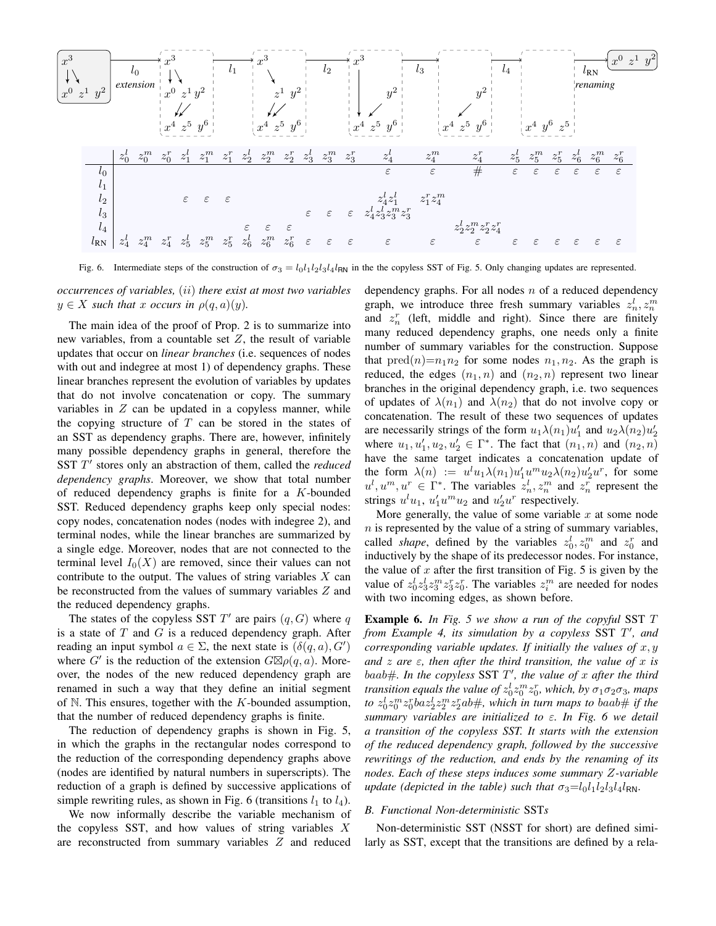

Fig. 6. Intermediate steps of the construction of  $\sigma_3 = l_0 l_1 l_2 l_3 l_4 l_{\text{RN}}$  in the the copyless SST of Fig. 5. Only changing updates are represented.

*occurrences of variables,* (*ii*) *there exist at most two variables*  $y \in X$  such that x occurs in  $\rho(q, a)(y)$ .

The main idea of the proof of Prop. 2 is to summarize into new variables, from a countable set  $Z$ , the result of variable updates that occur on *linear branches* (i.e. sequences of nodes with out and indegree at most 1) of dependency graphs. These linear branches represent the evolution of variables by updates that do not involve concatenation or copy. The summary variables in  $Z$  can be updated in a copyless manner, while the copying structure of  $T$  can be stored in the states of an SST as dependency graphs. There are, however, infinitely many possible dependency graphs in general, therefore the SST T' stores only an abstraction of them, called the *reduced dependency graphs*. Moreover, we show that total number of reduced dependency graphs is finite for a  $K$ -bounded SST. Reduced dependency graphs keep only special nodes: copy nodes, concatenation nodes (nodes with indegree 2), and terminal nodes, while the linear branches are summarized by a single edge. Moreover, nodes that are not connected to the terminal level  $I_0(X)$  are removed, since their values can not contribute to the output. The values of string variables  $X$  can be reconstructed from the values of summary variables  $Z$  and the reduced dependency graphs.

The states of the copyless SST  $T'$  are pairs  $(q, G)$  where q is a state of  $T$  and  $G$  is a reduced dependency graph. After reading an input symbol  $a \in \Sigma$ , the next state is  $(\delta(q, a), G')$ where  $G'$  is the reduction of the extension  $G\boxtimes \rho(q,a)$ . Moreover, the nodes of the new reduced dependency graph are renamed in such a way that they define an initial segment of  $\mathbb N$ . This ensures, together with the  $K$ -bounded assumption, that the number of reduced dependency graphs is finite.

The reduction of dependency graphs is shown in Fig. 5, in which the graphs in the rectangular nodes correspond to the reduction of the corresponding dependency graphs above (nodes are identified by natural numbers in superscripts). The reduction of a graph is defined by successive applications of simple rewriting rules, as shown in Fig. 6 (transitions  $l_1$  to  $l_4$ ).

We now informally describe the variable mechanism of the copyless SST, and how values of string variables  $X$ are reconstructed from summary variables  $Z$  and reduced dependency graphs. For all nodes  $n$  of a reduced dependency graph, we introduce three fresh summary variables  $z_n^l, z_n^m$ and  $z_n^r$  (left, middle and right). Since there are finitely many reduced dependency graphs, one needs only a finite number of summary variables for the construction. Suppose that  $\text{pred}(n) = n_1 n_2$  for some nodes  $n_1, n_2$ . As the graph is reduced, the edges  $(n_1, n)$  and  $(n_2, n)$  represent two linear branches in the original dependency graph, i.e. two sequences of updates of  $\lambda(n_1)$  and  $\lambda(n_2)$  that do not involve copy or concatenation. The result of these two sequences of updates are necessarily strings of the form  $u_1\lambda(n_1)u'_1$  and  $u_2\lambda(n_2)u'_2$ where  $u_1, u'_1, u_2, u'_2 \in \Gamma^*$ . The fact that  $(n_1, n)$  and  $(n_2, n)$ have the same target indicates a concatenation update of the form  $\lambda(n) := u^l u_1 \lambda(n_1) u_1' u^m u_2 \lambda(n_2) u_2' u^r$ , for some  $u^l, u^m, u^r \in \Gamma^*$ . The variables  $z_n^l, z_n^m$  and  $z_n^r$  represent the strings  $u^l u_1$ ,  $u'_1 u^m u_2$  and  $u'_2 u^r$  respectively.

More generally, the value of some variable  $x$  at some node  $n$  is represented by the value of a string of summary variables, called *shape*, defined by the variables  $z_0^l, z_0^m$  and  $z_0^r$  and inductively by the shape of its predecessor nodes. For instance, the value of  $x$  after the first transition of Fig. 5 is given by the value of  $z_0^l z_3^l z_3^m z_3^r z_0^r$ . The variables  $z_i^m$  are needed for nodes with two incoming edges, as shown before.

**Example 6.** *In Fig. 5 we show a run of the copyful SST T from Example 4, its simulation by a copyless SST T', and corresponding variable updates. If initially the values of*  $x, y$ *and*  $z$  are  $\varepsilon$ , then after the third transition, the value of  $x$  is *baab#. In the copyless SST T', the value of x after the third transition equals the value of*  $z_0^l z_0^m z_0^r$ , which, by  $\sigma_1 \sigma_2 \sigma_3$ , maps to  $z_0^l z_0^m z_0^r b a z_2^l z_2^m z_2^r a b \#$ , which in turn maps to  $b a a b \#$  if the *summary variables are initialized to* 𝜀*. In Fig. 6 we detail a transition of the copyless SST. It starts with the extension of the reduced dependency graph, followed by the successive rewritings of the reduction, and ends by the renaming of its nodes. Each of these steps induces some summary Z-variable update (depicted in the table) such that*  $\sigma_3 = l_0 l_1 l_2 l_3 l_4 l_{\text{RN}}$ .

#### *B. Functional Non-deterministic* SST*s*

Non-deterministic SST (NSST for short) are defined similarly as SST, except that the transitions are defined by a rela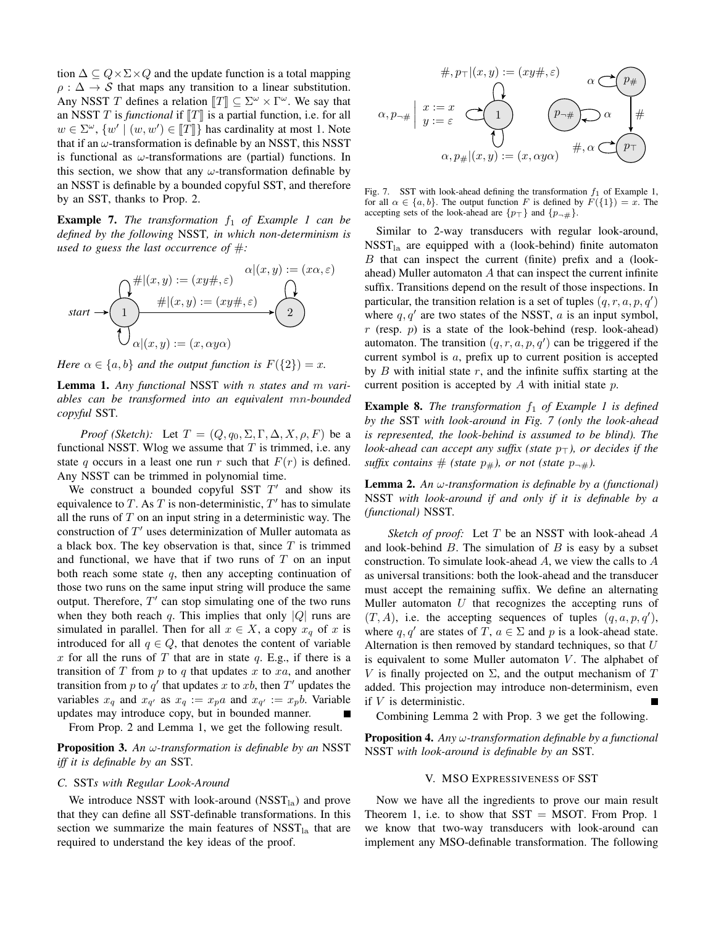tion  $\Delta \subseteq Q \times \Sigma \times Q$  and the update function is a total mapping  $\rho : \Delta \rightarrow S$  that maps any transition to a linear substitution. Any NSST T defines a relation  $T \subseteq \Sigma^{\omega} \times \Gamma^{\omega}$ . We say that an NSST  $T$  is *functional* if  $T$  is a partial function, i.e. for all  $w \in \Sigma^{\omega}$ ,  $\{w' \mid (w, w') \in \llbracket T \rrbracket \}$  has cardinality at most 1. Note that if an  $\omega$ -transformation is definable by an NSST, this NSST is functional as  $\omega$ -transformations are (partial) functions. In this section, we show that any  $\omega$ -transformation definable by an NSST is definable by a bounded copyful SST, and therefore by an SST, thanks to Prop. 2.

**Example 7.** *The transformation*  $f_1$  *of Example 1 can be defined by the following* NSST*, in which non-determinism is used to guess the last occurrence of* #*:*

$$
start \rightarrow \begin{pmatrix} \uparrow \# \vert (x, y) := (xy \# , \varepsilon) & \alpha \vert (x, y) := (x \alpha, \varepsilon) \\ \hline \downarrow & \# \vert (x, y) := (xy \# , \varepsilon) \\ \hline \downarrow & \alpha \vert (x, y) := (x, \alpha y \alpha) \end{pmatrix}
$$

*Here*  $\alpha \in \{a, b\}$  *and the output function is*  $F(\{2\}) = x$ *.* 

**Lemma 1.** Any functional NSST with *n* states and *m* vari*ables can be transformed into an equivalent mn-bounded copyful* SST*.*

*Proof (Sketch):* Let  $T = (Q, q_0, \Sigma, \Gamma, \Delta, X, \rho, F)$  be a functional NSST. Wlog we assume that  $T$  is trimmed, i.e. any state q occurs in a least one run r such that  $F(r)$  is defined. Any NSST can be trimmed in polynomial time.

We construct a bounded copyful SST  $T'$  and show its equivalence to  $T$ . As  $T$  is non-deterministic,  $T'$  has to simulate all the runs of  $T$  on an input string in a deterministic way. The construction of  $T'$  uses determinization of Muller automata as a black box. The key observation is that, since  $T$  is trimmed and functional, we have that if two runs of  $T$  on an input both reach some state  $q$ , then any accepting continuation of those two runs on the same input string will produce the same output. Therefore,  $T'$  can stop simulating one of the two runs when they both reach  $q$ . This implies that only | $Q$ | runs are simulated in parallel. Then for all  $x \in X$ , a copy  $x_q$  of x is introduced for all  $q \in Q$ , that denotes the content of variable x for all the runs of  $T$  that are in state  $q$ . E.g., if there is a transition of  $T$  from  $p$  to  $q$  that updates  $x$  to  $xa$ , and another transition from p to  $q'$  that updates x to xb, then  $T'$  updates the variables  $x_q$  and  $x_{q'}$  as  $x_q := x_p a$  and  $x_{q'} := x_p b$ . Variable updates may introduce copy, but in bounded manner.

From Prop. 2 and Lemma 1, we get the following result.

**Proposition 3.** An  $\omega$ -transformation is definable by an NSST *iff it is definable by an* SST*.*

#### *C.* SST*s with Regular Look-Around*

We introduce NSST with look-around  $(NSST<sub>la</sub>)$  and prove that they can define all SST-definable transformations. In this section we summarize the main features of  $NSST<sub>la</sub>$  that are required to understand the key ideas of the proof.



Fig. 7. SST with look-ahead defining the transformation  $f_1$  of Example 1, for all  $\alpha \in \{a, b\}$ . The output function F is defined by  $F({1}) = x$ . The accepting sets of the look-ahead are  $\{p_{\top}\}\$  and  $\{p_{\neg\#}\}.$ 

Similar to 2-way transducers with regular look-around,  $NSST<sub>la</sub>$  are equipped with a (look-behind) finite automaton  $B$  that can inspect the current (finite) prefix and a (lookahead) Muller automaton  $A$  that can inspect the current infinite suffix. Transitions depend on the result of those inspections. In particular, the transition relation is a set of tuples  $(q, r, a, p, q')$ where  $q, q'$  are two states of the NSST,  $a$  is an input symbol, r (resp.  $p$ ) is a state of the look-behind (resp. look-ahead) automaton. The transition  $(q, r, a, p, q')$  can be triggered if the current symbol is  $a$ , prefix up to current position is accepted by  $B$  with initial state  $r$ , and the infinite suffix starting at the current position is accepted by  $A$  with initial state  $p$ .

**Example 8.** *The transformation*  $f_1$  *of Example 1 is defined by the* SST *with look-around in Fig. 7 (only the look-ahead is represented, the look-behind is assumed to be blind). The look-ahead can accept any suffix (state p*⊤), *or decides if the suffix contains*  $#$  *(state*  $p_{\#}$ *), or not (state*  $p_{\neg \#}$ *).* 

**Lemma 2.** An  $\omega$ -transformation is definable by a (functional) NSST *with look-around if and only if it is definable by a (functional)* NSST*.*

*Sketch of proof:* Let T be an NSST with look-ahead A and look-behind  $B$ . The simulation of  $B$  is easy by a subset construction. To simulate look-ahead  $A$ , we view the calls to  $A$ as universal transitions: both the look-ahead and the transducer must accept the remaining suffix. We define an alternating Muller automaton  $U$  that recognizes the accepting runs of  $(T, A)$ , i.e. the accepting sequences of tuples  $(q, a, p, q')$ , where q, q' are states of T,  $a \in \Sigma$  and p is a look-ahead state. Alternation is then removed by standard techniques, so that  $U$ is equivalent to some Muller automaton  $V$ . The alphabet of V is finally projected on  $\Sigma$ , and the output mechanism of  $T$ added. This projection may introduce non-determinism, even if  $V$  is deterministic.

Combining Lemma 2 with Prop. 3 we get the following.

**Proposition 4.** Any  $\omega$ -transformation definable by a functional NSST *with look-around is definable by an* SST*.*

#### V. MSO EXPRESSIVENESS OF SST

Now we have all the ingredients to prove our main result Theorem 1, i.e. to show that  $SST = MSOT$ . From Prop. 1 we know that two-way transducers with look-around can implement any MSO-definable transformation. The following